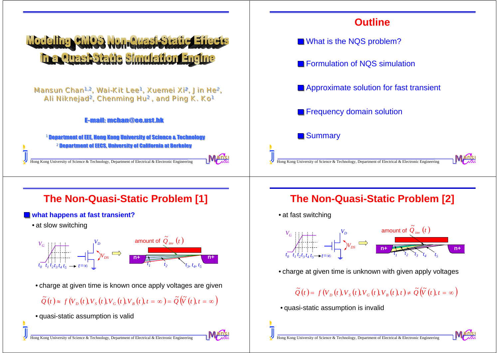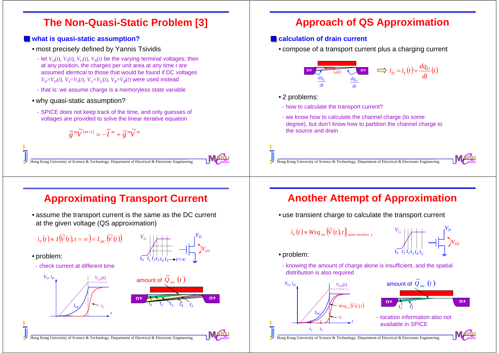### **The Non-Quasi-Static Problem [3]**

#### $\blacksquare$  what is quasi-static assumption?

- most precisely defined by Yannis Tsividis
	- $\bullet$  let  $V_D(t)$ ,  $V_S(t)$ ,  $V_G(t)$ ,  $V_B(t)$  be the varying terminal voltages; then at any position, the charges per unit area at any time *<sup>t</sup>* are assumed identical to those that would be found if DC voltages  $V_D=V_D(t)$ ,  $V_S=V_S(t)$ ,  $V_G=V_G(t)$ ,  $V_B=V_B(t)$  were used instead
- that is: we assume charge is a memoryless state variable
- why quasi-static assumption?
- SPICE does not keep track of the time, and only guesses of voltages are provided to solve the linear iterative equation

 $\widetilde{g}^{~m}\widetilde{V}^{(m+1)} = -\widetilde{I}^{~m} + \widetilde{g}^{~m}\widetilde{V}^{~m}$ 

Hong Kong University of Science & Technology, Department of Electrical & Electronic Engineering

# **Approximating Transport Current**

• assume the transport current is the same as the DC current at the given voltage (QS approximation)

$$
i_T(t) \approx I(\widetilde{V}(t), t = \infty) = I_{DC}(\widetilde{V}(t))
$$



- check current at different time







# **Approach of QS Approximation**

### **Calculation of drain current**

• compose of a transport current plus a charging current



• 2 problems:

- how to calculate the transport current?
- we know how to calculate the channel charge (to some degree), but don't know how to partition the channel charge to the source and drain

Hong Kong University of Science & Technology, Department of Electrical & Electronic Engineering

### **Another Attempt of Approximation**

• use transient charge to calculate the transport current

 $i_T(t) \approx Wvq_{\text{inv}}(\widetilde{V}(t), t)$  some location y



- problem:
- **n+ n+** amount of  $\mathcal{\widetilde{Q}}_{_{inv}}\left( t\right)$ - knowing the amount of charge alone is insufficient, and the spatial distribution is also required  $V_{G}$ *i<sub>D</sub>*  $V_{\rm cs}(t)$  $Wvq_{_{inv}}\big(\!\widetilde{V}\big(t\big),t\big)$



*t*

 $i_{\scriptscriptstyle T}$ 

 $I_{DC}$ 

*t1* $t_1$   $t_2$ 

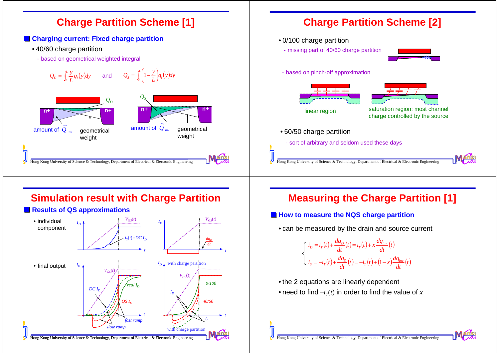

### **Simulation result with Charge Partition**



### **Measuring the Charge Partition [1]**

#### **How to measure the NQS charge partition**

• can be measured by the drain and source current

 $i_D = i_T(t) + \frac{dq_D}{dt}(t) = i_T(t) + x\frac{dq_{inv}}{dt}(t)$  $i_s = -i_r(t) + \frac{dq_s}{dt}(t) = -i_r(t) + (1-x)\frac{dq_{inv}}{dt}(t)$ 

- the 2 equations are linearly dependent
- $\bullet$  need to find  $-i_T(t)$  in order to find the value of  $x$

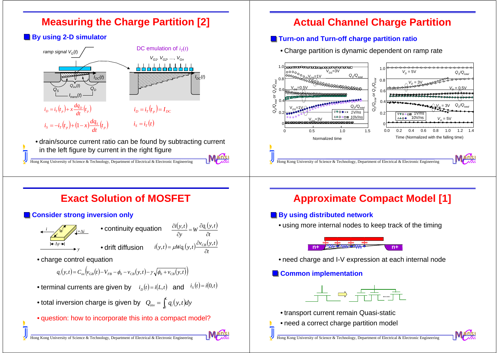### **Measuring the Charge Partition [2]**

#### **By using 2-D simulator**



### **Actual Channel Charge Partition**

### **Turn-on and Turn-off charge partition ratio**

• Charge partition is dynamic dependent on ramp rate



# **Exact Solution of MOSFET**

#### **Consider strong inversion only**



**• continuity equation**  $\frac{\partial i(y,t)}{\partial y} = W \frac{\partial q_i(y,t)}{\partial t}$  $\frac{y(t)}{y} = W \frac{\partial q_i(y, t)}{\partial t}$  $\frac{\partial q_i(y,t)}{\partial y} = W \frac{\partial q_i(y)}{\partial y}$  $\partial i(y,t)$  w  $\partial q_i(y,$ • drift diffusion  $i(y,t) = \mu W q_i(y,t) \frac{\partial v_{CB}(y,t)}{\partial t}$  $i(y,t) = \mu W q_i(y,t) \frac{\partial v_{CB}(y,t)}{\partial t}$  $u(t) = \mu W q_i(y,t) \frac{\partial v_{CB}(y,t)}{\partial x_i}$ 

Maa

nsu

• charge control equation

$$
q_i(y,t) = C_{ox} \left( v_{GB}(t) - V_{FB} - \phi_0 - v_{CB}(y,t) - \gamma \sqrt{\phi_0 + v_{CB}(y,t)} \right)
$$

- terminal currents are given by  $i_D(t) = i(L,t)$  and  $i_S(t) = i(0,t)$
- $\bullet$  total inversion charge is given by  $\mathcal{Q}_{_{inv}}=\intop_{0}^{t}q_{_{i}}\big(y,t\big)dy$
- question: how to incorporate this into a compact model?

### **Approximate Compact Model [1]**

### **By using distributed network**

• using more internal nodes to keep track of the timing



• need charge and I-V expression at each internal node

### **Common implementation**



- transport current remain Quasi-static
- need a correct charge partition model

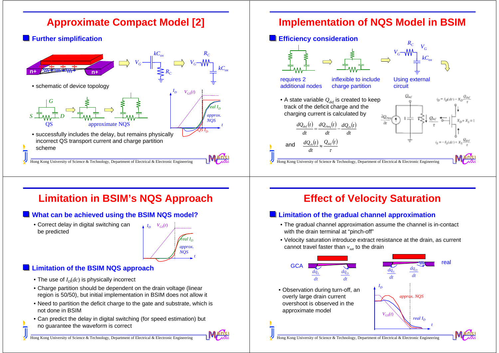

### **Implementation of NQS Model in BSIM**



### **Limitation in BSIM's NQS Approach**

#### **What can be achieved using the BSIM NQS model?**

• Correct delay in digital switching can be predicted



### **Limitation of the BSIM NQS approach**

- $\bullet$  The use of  $I_D(dc)$  is physically incorrect
- Charge partition should be dependent on the drain voltage (linear region is 50/50), but initial implementation in BSIM does not allow it
- Need to partition the deficit charge to the gate and substrate, which is not done in BSIM
- Can predict the delay in digital switching (for speed estimation) but no guarantee the waveform is correct



# **Effect of Velocity Saturation**

### **Limitation of the gradual channel approximation**

- The gradual channel approximation assume the channel is in-contact with the drain terminal at "pinch-off"
- Velocity saturation introduce extract resistance at the drain, as current cannot travel faster than  $v_{\mathrm{\scriptscriptstyle sat}}$  to the drain

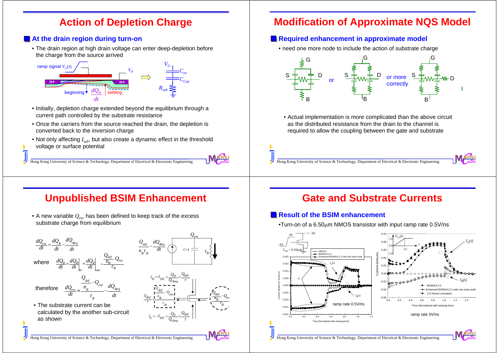### **Action of Depletion Charge**

### **At the drain region during turn-on**

• The drain region at high drain voltage can enter deep-depletion before the charge from the source arrived



- Initially, depletion charge extended beyond the equilibrium through a current path controlled by the substrate resistance
- Once the carriers from the source reached the drain, the depletion is converted back to the inversion charge
- Not only affecting *Isub*, but also create a dynamic effect in the threshold voltage or surface potential

Hong Kong University of Science & Technology, Department of Electrical & Electronic Engineering

## **Modification of Approximate NQS Model**

#### **Required enhancement in approximate model**

• need one more node to include the action of substrate charge



• Actual implementation is more complicated than the above circuit as the distributed resistance from the drain to the channel is required to allow the coupling between the gate and substrate

Hong Kong University of Science & Technology, Department of Electrical & Electronic Engineering

# **Unpublished BSIM Enhancement**

 $\bullet$  A new variable  $\mathcal{Q}_{\mathit{exc}}$  has been defined to keep track of the excess substrate charge from equilibrium



Hong Kong University of Science & Technology, Department of Electrical & Electronic Engineering





*Qexc*

#### $0.0$

**Result of the BSIM enhancement** 



**Gate and Substrate Currents**

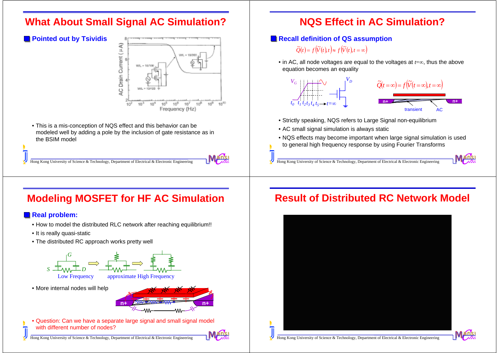### **What About Small Signal AC Simulation?**



• This is a mis-conception of NQS effect and this behavior can be modeled well by adding a pole by the inclusion of gate resistance as in the BSIM model



### **Modeling MOSFET for HF AC Simulation**

#### **Real problem:**

- How to model the distributed RLC network after reaching equilibrium!!
- It is really quasi-static
- The distributed RC approach works pretty well



Hong Kong University of Science & Technology, Department of Electrical & Electronic Engineering



Maa

nsl

### **NQS Effect in AC Simulation?**

#### **Recall definition of QS assumption**

 $\widetilde{Q}(t) = f(\widetilde{V}(t), t) \approx f(\widetilde{V}(t), t = \infty)$ 

• in AC, all node voltages are equal to the voltages at *t*=∞, thus the above equation becomes an equality



- Strictly speaking, NQS refers to Large Signal non-equilibrium
- AC small signal simulation is always static
- NQS effects may become important when large signal simulation is used to general high frequency response by using Fourier Transforms

Hong Kong University of Science & Technology, Department of Electrical & Electronic Engineering

### **Result of Distributed RC Network Model**



Maa

nnssunun